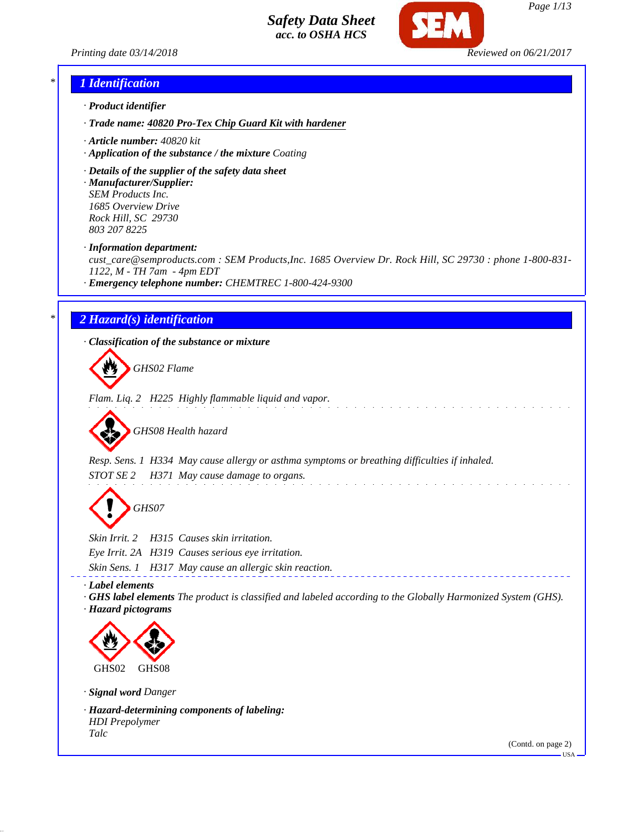



### *\* 1 Identification*

- *· Product identifier*
- *· Trade name: 40820 Pro-Tex Chip Guard Kit with hardener*
- *· Article number: 40820 kit*
- *· Application of the substance / the mixture Coating*
- *· Details of the supplier of the safety data sheet*
- *· Manufacturer/Supplier: SEM Products Inc. 1685 Overview Drive Rock Hill, SC 29730 803 207 8225*
- *· Information department:*

*cust\_care@semproducts.com : SEM Products,Inc. 1685 Overview Dr. Rock Hill, SC 29730 : phone 1-800-831- 1122, M - TH 7am - 4pm EDT*

*· Emergency telephone number: CHEMTREC 1-800-424-9300*

# *\* 2 Hazard(s) identification*

*· Classification of the substance or mixture*

*GHS02 Flame*

*Flam. Liq. 2 H225 Highly flammable liquid and vapor.*



*Resp. Sens. 1 H334 May cause allergy or asthma symptoms or breathing difficulties if inhaled. STOT SE 2 H371 May cause damage to organs.*

*GHS07*

*Skin Irrit. 2 H315 Causes skin irritation.*

*Eye Irrit. 2A H319 Causes serious eye irritation.*

*Skin Sens. 1 H317 May cause an allergic skin reaction.*

*· Label elements*

*· GHS label elements The product is classified and labeled according to the Globally Harmonized System (GHS). · Hazard pictograms*



*· Signal word Danger*

*· Hazard-determining components of labeling: HDI Prepolymer Talc*

(Contd. on page 2)

 $-HSA$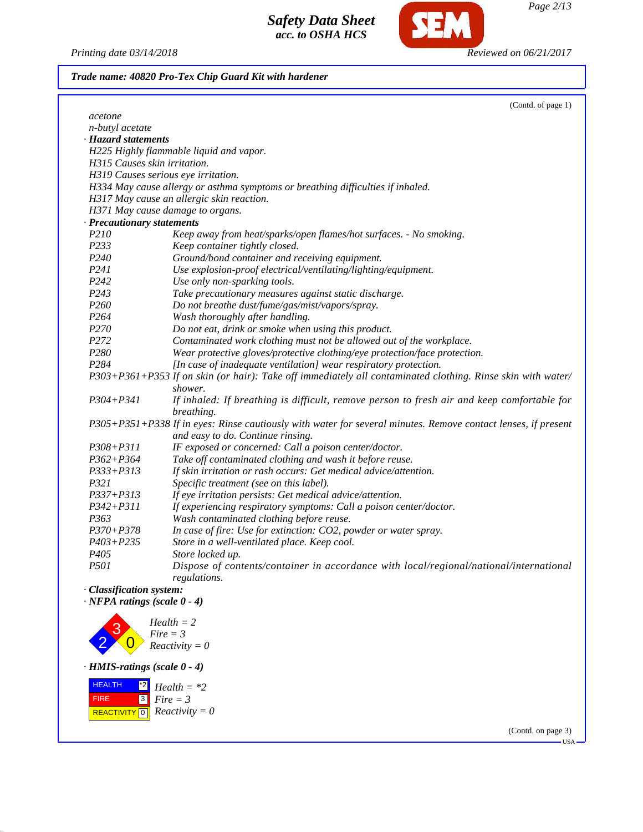

*Page 2/13*

*Printing date 03/14/2018 Reviewed on 06/21/2017*

| Trade name: 40820 Pro-Tex Chip Guard Kit with hardener |  |  |  |  |
|--------------------------------------------------------|--|--|--|--|
|                                                        |  |  |  |  |

|                                     | (Contd. of page 1)                                                                                                     |
|-------------------------------------|------------------------------------------------------------------------------------------------------------------------|
| acetone                             |                                                                                                                        |
| n-butyl acetate                     |                                                                                                                        |
| · Hazard statements                 |                                                                                                                        |
|                                     | H225 Highly flammable liquid and vapor.                                                                                |
| H315 Causes skin irritation.        |                                                                                                                        |
| H319 Causes serious eye irritation. |                                                                                                                        |
|                                     | H334 May cause allergy or asthma symptoms or breathing difficulties if inhaled.                                        |
|                                     | H317 May cause an allergic skin reaction.                                                                              |
| H371 May cause damage to organs.    |                                                                                                                        |
| · Precautionary statements          |                                                                                                                        |
| P <sub>210</sub>                    | Keep away from heat/sparks/open flames/hot surfaces. - No smoking.                                                     |
| P233                                | Keep container tightly closed.                                                                                         |
| P <sub>240</sub>                    | Ground/bond container and receiving equipment.                                                                         |
| P241                                | Use explosion-proof electrical/ventilating/lighting/equipment.                                                         |
| P242                                | Use only non-sparking tools.                                                                                           |
| P243                                | Take precautionary measures against static discharge.                                                                  |
| P <sub>260</sub>                    | Do not breathe dust/fume/gas/mist/vapors/spray.                                                                        |
| P <sub>264</sub>                    | Wash thoroughly after handling.                                                                                        |
| P270                                | Do not eat, drink or smoke when using this product.                                                                    |
| P272                                | Contaminated work clothing must not be allowed out of the workplace.                                                   |
| P280                                | Wear protective gloves/protective clothing/eye protection/face protection.                                             |
| P <sub>284</sub>                    | [In case of inadequate ventilation] wear respiratory protection.                                                       |
|                                     | P303+P361+P353 If on skin (or hair): Take off immediately all contaminated clothing. Rinse skin with water/<br>shower. |
| $P304 + P341$                       | If inhaled: If breathing is difficult, remove person to fresh air and keep comfortable for<br>breathing.               |
|                                     | P305+P351+P338 If in eyes: Rinse cautiously with water for several minutes. Remove contact lenses, if present          |
|                                     | and easy to do. Continue rinsing.                                                                                      |
| $P308 + P311$                       | IF exposed or concerned: Call a poison center/doctor.                                                                  |
| $P362 + P364$                       | Take off contaminated clothing and wash it before reuse.                                                               |
| $P333 + P313$                       | If skin irritation or rash occurs: Get medical advice/attention.                                                       |
| P321                                | Specific treatment (see on this label).                                                                                |
| $P337 + P313$                       | If eye irritation persists: Get medical advice/attention.                                                              |
| $P342 + P311$                       | If experiencing respiratory symptoms: Call a poison center/doctor.                                                     |
| P363                                | Wash contaminated clothing before reuse.                                                                               |
| $P370 + P378$                       | In case of fire: Use for extinction: CO2, powder or water spray.                                                       |
| $P403 + P235$                       | Store in a well-ventilated place. Keep cool.                                                                           |
| P <sub>405</sub>                    | Store locked up.                                                                                                       |
| <i>P501</i>                         | Dispose of contents/container in accordance with local/regional/national/international<br>regulations.                 |
| · Classification system:            |                                                                                                                        |
| $\cdot$ NFPA ratings (scale 0 - 4)  |                                                                                                                        |



*· HMIS-ratings (scale 0 - 4)*

 HEALTH FIRE  $\boxed{\text{REACTIVITY} \boxed{0}}$  Reactivity = 0  $^{\star 2}$  *Health* =  $^{\star 2}$ 3 *Fire = 3*

> (Contd. on page 3) USA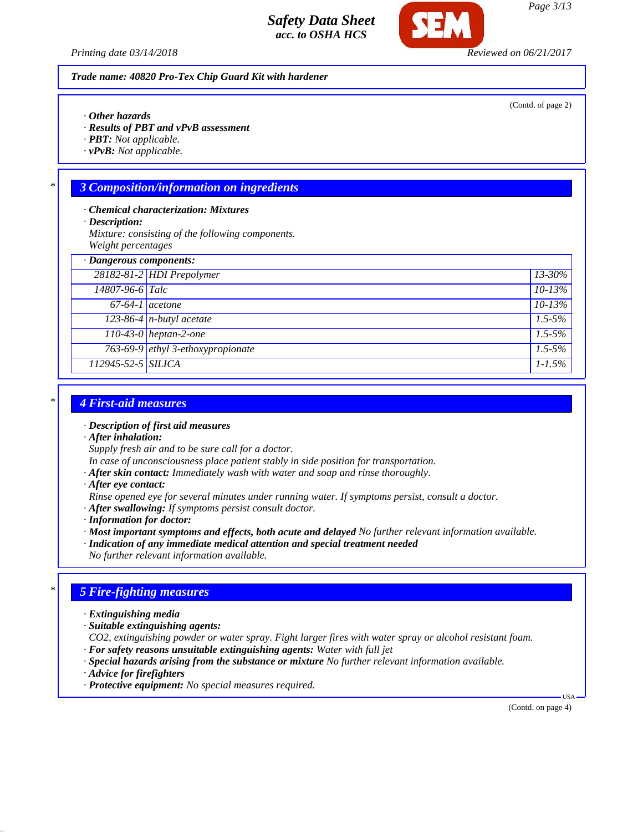

*Trade name: 40820 Pro-Tex Chip Guard Kit with hardener*

- *· Other hazards*
- *· Results of PBT and vPvB assessment*
- *· PBT: Not applicable.*
- *· vPvB: Not applicable.*

# *\* 3 Composition/information on ingredients*

- *· Chemical characterization: Mixtures*
- *· Description:*
- *Mixture: consisting of the following components. Weight percentages*
- *· Dangerous components: 28182-81-2 HDI Prepolymer 13-30% 14807-96-6 Talc 10-13% 67-64-1 acetone 10-13%*
- *123-86-4 n-butyl acetate 1.5-5% 110-43-0 heptan-2-one 1.5-5% 763-69-9 ethyl 3-ethoxypropionate 1.5-5% 112945-52-5 SILICA 1-1.5%*

# *\* 4 First-aid measures*

- *· Description of first aid measures*
- *· After inhalation:*
- *Supply fresh air and to be sure call for a doctor.*
- *In case of unconsciousness place patient stably in side position for transportation.*
- *· After skin contact: Immediately wash with water and soap and rinse thoroughly.*
- *· After eye contact:*
- *Rinse opened eye for several minutes under running water. If symptoms persist, consult a doctor.*
- *· After swallowing: If symptoms persist consult doctor.*
- *· Information for doctor:*
- *· Most important symptoms and effects, both acute and delayed No further relevant information available.*
- *· Indication of any immediate medical attention and special treatment needed*
- *No further relevant information available.*

# *\* 5 Fire-fighting measures*

- *· Extinguishing media*
- *· Suitable extinguishing agents:*
- *CO2, extinguishing powder or water spray. Fight larger fires with water spray or alcohol resistant foam.*
- *· For safety reasons unsuitable extinguishing agents: Water with full jet*
- *· Special hazards arising from the substance or mixture No further relevant information available.*
- *· Advice for firefighters*
- *· Protective equipment: No special measures required.*

(Contd. on page 4)

USA

*Printing date 03/14/2018 Reviewed on 06/21/2017*

(Contd. of page 2)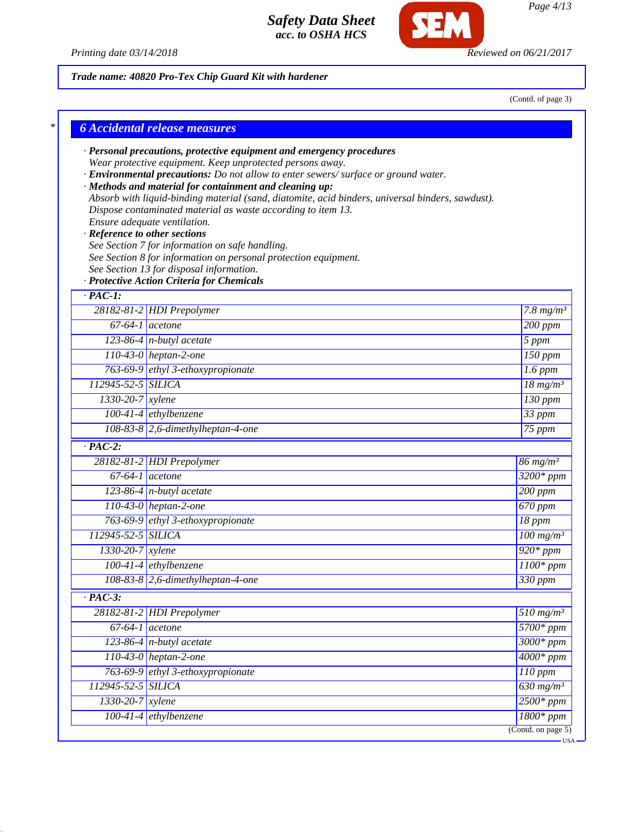

*Page 4/13*

*Printing date 03/14/2018 Reviewed on 06/21/2017*

# *Trade name: 40820 Pro-Tex Chip Guard Kit with hardener*

(Contd. of page 3)

|                               | · Personal precautions, protective equipment and emergency procedures<br>Wear protective equipment. Keep unprotected persons away. |                                    |
|-------------------------------|------------------------------------------------------------------------------------------------------------------------------------|------------------------------------|
|                               | · Environmental precautions: Do not allow to enter sewers/ surface or ground water.                                                |                                    |
|                               | · Methods and material for containment and cleaning up:                                                                            |                                    |
|                               | Absorb with liquid-binding material (sand, diatomite, acid binders, universal binders, sawdust).                                   |                                    |
|                               | Dispose contaminated material as waste according to item 13.                                                                       |                                    |
| · Reference to other sections | Ensure adequate ventilation.                                                                                                       |                                    |
|                               | See Section 7 for information on safe handling.                                                                                    |                                    |
|                               | See Section 8 for information on personal protection equipment.                                                                    |                                    |
|                               | See Section 13 for disposal information.                                                                                           |                                    |
|                               | · Protective Action Criteria for Chemicals                                                                                         |                                    |
| $\cdot$ PAC-1:                |                                                                                                                                    |                                    |
|                               | 28182-81-2 HDI Prepolymer                                                                                                          | $\overline{7.8}$ mg/m <sup>3</sup> |
| $67-64-1$ acetone             |                                                                                                                                    | $200$ ppm                          |
|                               | 123-86-4 $n$ -butyl acetate                                                                                                        | 5 ppm                              |
|                               | 110-43-0 heptan-2-one                                                                                                              | $\overline{150}$ ppm               |
|                               | 763-69-9 ethyl 3-ethoxypropionate                                                                                                  | $1.6$ ppm                          |
| 112945-52-5 SILICA            |                                                                                                                                    | $18 \, mg/m3$                      |
| 1330-20-7 xylene              |                                                                                                                                    | $130$ ppm                          |
|                               | $100-41-4$ ethylbenzene                                                                                                            | $33$ ppm                           |
|                               | 108-83-8 2,6-dimethylheptan-4-one                                                                                                  | 75 ppm                             |
| $\cdot$ PAC-2:                |                                                                                                                                    |                                    |
|                               | 28182-81-2 HDI Prepolymer                                                                                                          | $86 \frac{mg}{m^3}$                |
| $67-64-1$ acetone             |                                                                                                                                    | $3200*$ ppm                        |
|                               | $123-86-4$ n-butyl acetate                                                                                                         | 200 ppm                            |
|                               | 110-43-0 heptan-2-one                                                                                                              | 670 ppm                            |
|                               | 763-69-9 ethyl 3-ethoxypropionate                                                                                                  | 18 ppm                             |
| 112945-52-5 SILICA            |                                                                                                                                    | $100$ mg/m <sup>3</sup>            |
| $1330 - 20 - 7$ xylene        |                                                                                                                                    | $920*ppm$                          |
|                               | 100-41-4 ethylbenzene                                                                                                              | $1100*$ ppm                        |
|                               | 108-83-8 2,6-dimethylheptan-4-one                                                                                                  | 330 ppm                            |
| $\cdot$ PAC-3:                |                                                                                                                                    |                                    |
|                               | 28182-81-2 HDI Prepolymer                                                                                                          | $510$ mg/m <sup>3</sup>            |
| $67-64-1$ acetone             |                                                                                                                                    | $5700*ppm$                         |
|                               | $123-86-4$ n-butyl acetate                                                                                                         | $3000*ppm$                         |
|                               | 110-43-0 heptan-2-one                                                                                                              | $4000*ppm$                         |
|                               | 763-69-9 ethyl 3-ethoxypropionate                                                                                                  | 110 ppm                            |
| 112945-52-5 SILICA            |                                                                                                                                    | $630$ mg/m <sup>3</sup>            |
| 1330-20-7 xylene              |                                                                                                                                    | $2500*ppm$                         |
|                               |                                                                                                                                    |                                    |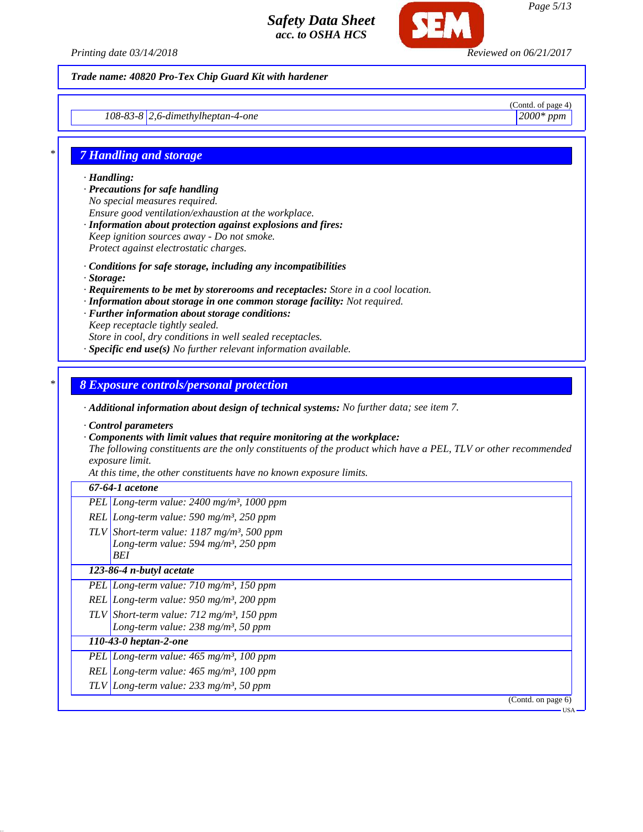

#### *Trade name: 40820 Pro-Tex Chip Guard Kit with hardener*

*108-83-8 2,6-dimethylheptan-4-one 2000\* ppm*

(Contd. of page 4)

# *\* 7 Handling and storage*

*· Handling:*

- *· Precautions for safe handling No special measures required. Ensure good ventilation/exhaustion at the workplace. · Information about protection against explosions and fires: Keep ignition sources away - Do not smoke.*
- *Protect against electrostatic charges.*
- *· Conditions for safe storage, including any incompatibilities*
- *· Storage:*
- *· Requirements to be met by storerooms and receptacles: Store in a cool location.*
- *· Information about storage in one common storage facility: Not required.*
- *· Further information about storage conditions: Keep receptacle tightly sealed. Store in cool, dry conditions in well sealed receptacles. · Specific end use(s) No further relevant information available.*

#### *\* 8 Exposure controls/personal protection*

*· Additional information about design of technical systems: No further data; see item 7.*

*· Control parameters*

*· Components with limit values that require monitoring at the workplace:*

*The following constituents are the only constituents of the product which have a PEL, TLV or other recommended exposure limit.*

*At this time, the other constituents have no known exposure limits.*

#### *67-64-1 acetone*

- *PEL Long-term value: 2400 mg/m³, 1000 ppm*
- *REL Long-term value: 590 mg/m³, 250 ppm TLV Short-term value: 1187 mg/m³, 500 ppm*
	- *Long-term value: 594 mg/m³, 250 ppm BEI*

#### *123-86-4 n-butyl acetate*

- *PEL Long-term value: 710 mg/m³, 150 ppm REL Long-term value: 950 mg/m³, 200 ppm*
- *TLV Short-term value: 712 mg/m³, 150 ppm*
- *Long-term value: 238 mg/m³, 50 ppm*

# *110-43-0 heptan-2-one*

- *PEL Long-term value: 465 mg/m³, 100 ppm*
- *REL Long-term value: 465 mg/m³, 100 ppm*
- *TLV Long-term value: 233 mg/m³, 50 ppm*

(Contd. on page 6)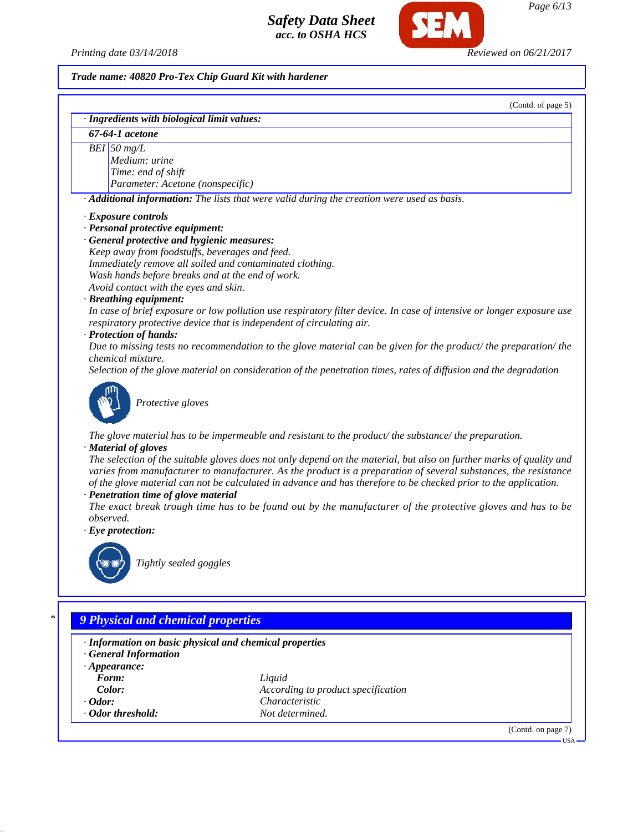*Printing date 03/14/2018 Reviewed on 06/21/2017*

*Page 6/13*

(Contd. on page 7)

USA

*Trade name: 40820 Pro-Tex Chip Guard Kit with hardener*

(Contd. of page 5) *· Ingredients with biological limit values: 67-64-1 acetone BEI 50 mg/L Medium: urine Time: end of shift Parameter: Acetone (nonspecific) · Additional information: The lists that were valid during the creation were used as basis. · Exposure controls · Personal protective equipment: · General protective and hygienic measures: Keep away from foodstuffs, beverages and feed. Immediately remove all soiled and contaminated clothing. Wash hands before breaks and at the end of work. Avoid contact with the eyes and skin. · Breathing equipment: In case of brief exposure or low pollution use respiratory filter device. In case of intensive or longer exposure use respiratory protective device that is independent of circulating air. · Protection of hands: Due to missing tests no recommendation to the glove material can be given for the product/ the preparation/ the chemical mixture. Selection of the glove material on consideration of the penetration times, rates of diffusion and the degradation Protective gloves The glove material has to be impermeable and resistant to the product/ the substance/ the preparation. · Material of gloves The selection of the suitable gloves does not only depend on the material, but also on further marks of quality and varies from manufacturer to manufacturer. As the product is a preparation of several substances, the resistance of the glove material can not be calculated in advance and has therefore to be checked prior to the application. · Penetration time of glove material The exact break trough time has to be found out by the manufacturer of the protective gloves and has to be observed. · Eye protection: Tightly sealed goggles \* 9 Physical and chemical properties*

*· Information on basic physical and chemical properties · General Information · Appearance: Form: Liquid Color: According to product specification · Odor: Characteristic · Odor threshold: Not determined.*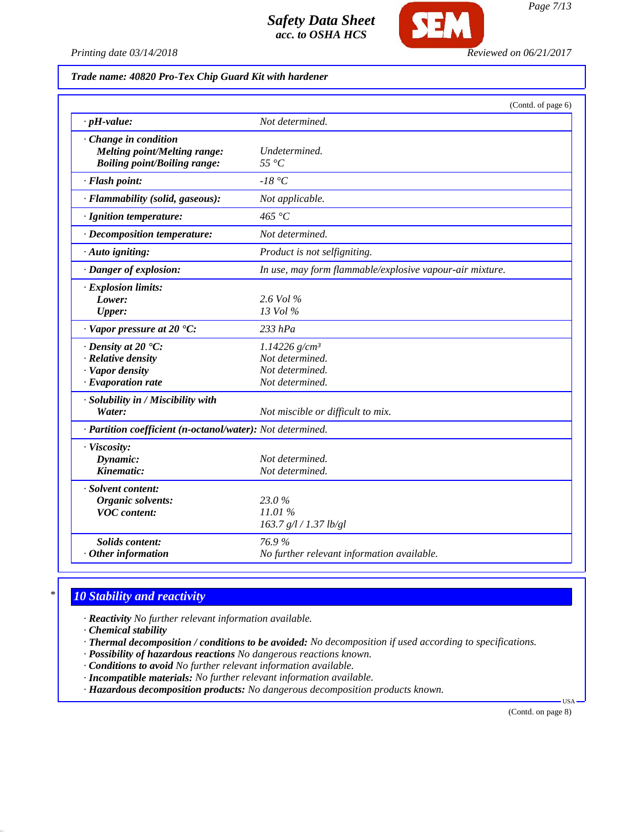

*Page 7/13*

*Printing date 03/14/2018 Reviewed on 06/21/2017*

#### *Trade name: 40820 Pro-Tex Chip Guard Kit with hardener*

|                                                                                                       | (Contd. of page 6)                                                                   |
|-------------------------------------------------------------------------------------------------------|--------------------------------------------------------------------------------------|
| $\cdot$ pH-value:                                                                                     | Not determined.                                                                      |
| Change in condition<br><b>Melting point/Melting range:</b><br><b>Boiling point/Boiling range:</b>     | Undetermined.<br>$55^{\circ}C$                                                       |
| · Flash point:                                                                                        | $-18\text{ °C}$                                                                      |
| · Flammability (solid, gaseous):                                                                      | Not applicable.                                                                      |
| · Ignition temperature:                                                                               | 465 $\degree$ C                                                                      |
| · Decomposition temperature:                                                                          | Not determined.                                                                      |
| · Auto igniting:                                                                                      | Product is not selfigniting.                                                         |
| · Danger of explosion:                                                                                | In use, may form flammable/explosive vapour-air mixture.                             |
| $\cdot$ Explosion limits:<br>Lower:<br><b>Upper:</b>                                                  | $2.6$ Vol $\%$<br>13 Vol %                                                           |
| $\cdot$ Vapor pressure at 20 $\cdot$ C:                                                               | $233$ $hPa$                                                                          |
| $\cdot$ Density at 20 $\textdegree$ C:<br>· Relative density<br>· Vapor density<br>· Evaporation rate | $1.14226$ g/cm <sup>3</sup><br>Not determined.<br>Not determined.<br>Not determined. |
| · Solubility in / Miscibility with<br>Water:                                                          | Not miscible or difficult to mix.                                                    |
| · Partition coefficient (n-octanol/water): Not determined.                                            |                                                                                      |
| · Viscosity:<br>Dynamic:<br>Kinematic:                                                                | Not determined.<br>Not determined.                                                   |
| · Solvent content:<br>Organic solvents:<br><b>VOC</b> content:                                        | 23.0%<br>11.01%<br>163.7 g/l / 1.37 lb/gl                                            |
| <b>Solids content:</b><br>$·$ Other information                                                       | 76.9%<br>No further relevant information available.                                  |

# *\* 10 Stability and reactivity*

*· Reactivity No further relevant information available.*

*· Chemical stability*

*· Thermal decomposition / conditions to be avoided: No decomposition if used according to specifications.*

- *· Possibility of hazardous reactions No dangerous reactions known.*
- *· Conditions to avoid No further relevant information available.*
- *· Incompatible materials: No further relevant information available.*

*· Hazardous decomposition products: No dangerous decomposition products known.*

(Contd. on page 8)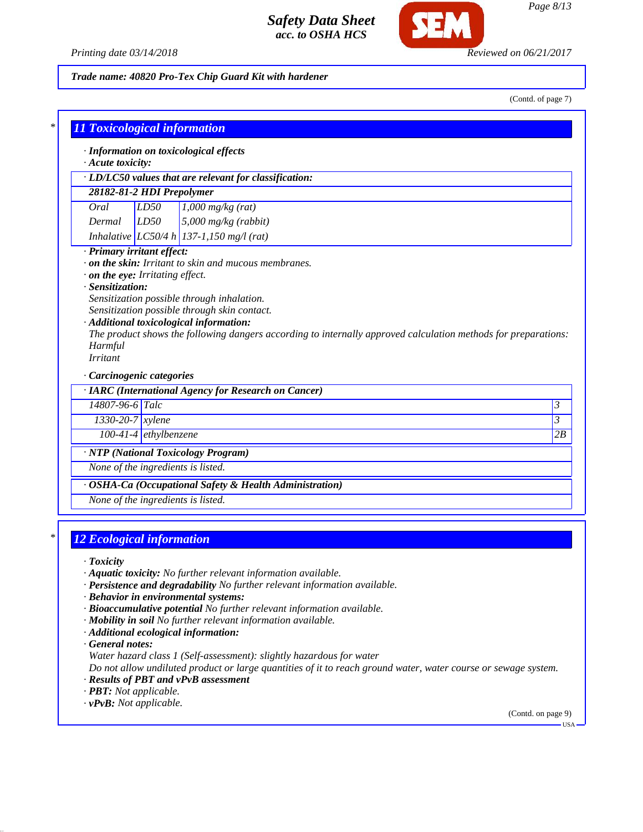

#### *Trade name: 40820 Pro-Tex Chip Guard Kit with hardener*

(Contd. of page 7)

|                                    |                         | · LD/LC50 values that are relevant for classification:                                                         |  |
|------------------------------------|-------------------------|----------------------------------------------------------------------------------------------------------------|--|
| 28182-81-2 HDI Prepolymer          |                         |                                                                                                                |  |
| Oral                               | LD50                    | $1,000$ mg/kg (rat)                                                                                            |  |
| Dermal                             | LD50                    | $5,000$ mg/kg (rabbit)                                                                                         |  |
|                                    |                         | Inhalative LC50/4 h 137-1,150 mg/l (rat)                                                                       |  |
| · Primary irritant effect:         |                         |                                                                                                                |  |
|                                    |                         | on the skin: Irritant to skin and mucous membranes.                                                            |  |
| . on the eye: Irritating effect.   |                         |                                                                                                                |  |
| · Sensitization:                   |                         |                                                                                                                |  |
|                                    |                         |                                                                                                                |  |
|                                    |                         | Sensitization possible through inhalation.                                                                     |  |
|                                    |                         | Sensitization possible through skin contact.                                                                   |  |
|                                    |                         | · Additional toxicological information:                                                                        |  |
|                                    |                         | The product shows the following dangers according to internally approved calculation methods for preparations: |  |
| Harmful                            |                         |                                                                                                                |  |
| <b>Irritant</b>                    |                         |                                                                                                                |  |
| Carcinogenic categories            |                         |                                                                                                                |  |
|                                    |                         | · IARC (International Agency for Research on Cancer)                                                           |  |
| 14807-96-6 Talc                    |                         |                                                                                                                |  |
| $\overline{1330}$ -20-7 xylene     |                         |                                                                                                                |  |
|                                    | $100-41-4$ ethylbenzene |                                                                                                                |  |
|                                    |                         | · NTP (National Toxicology Program)                                                                            |  |
| None of the ingredients is listed. |                         |                                                                                                                |  |

# *\* 12 Ecological information*

*· Toxicity*

- *· Aquatic toxicity: No further relevant information available.*
- *· Persistence and degradability No further relevant information available.*
- *· Behavior in environmental systems:*
- *· Bioaccumulative potential No further relevant information available.*
- *· Mobility in soil No further relevant information available.*
- *· Additional ecological information:*

*· General notes:*

*Water hazard class 1 (Self-assessment): slightly hazardous for water*

*Do not allow undiluted product or large quantities of it to reach ground water, water course or sewage system.*

- *· Results of PBT and vPvB assessment*
- *· PBT: Not applicable.*
- *· vPvB: Not applicable.*

(Contd. on page 9) USA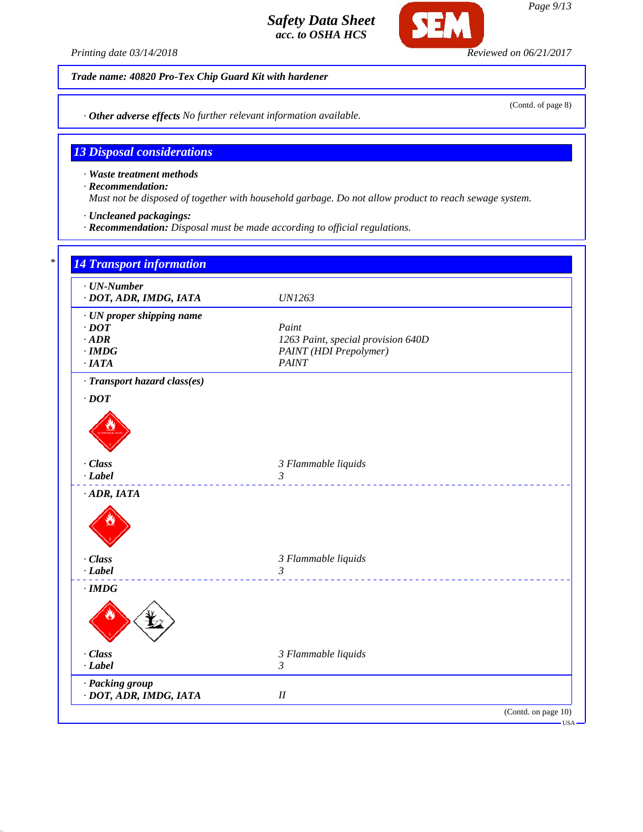

*Trade name: 40820 Pro-Tex Chip Guard Kit with hardener*

*· Other adverse effects No further relevant information available.*

## *13 Disposal considerations*

*· Waste treatment methods*

*· Recommendation:*

*Must not be disposed of together with household garbage. Do not allow product to reach sewage system.*

*· Uncleaned packagings:*

*· Recommendation: Disposal must be made according to official regulations.*



(Contd. of page 8)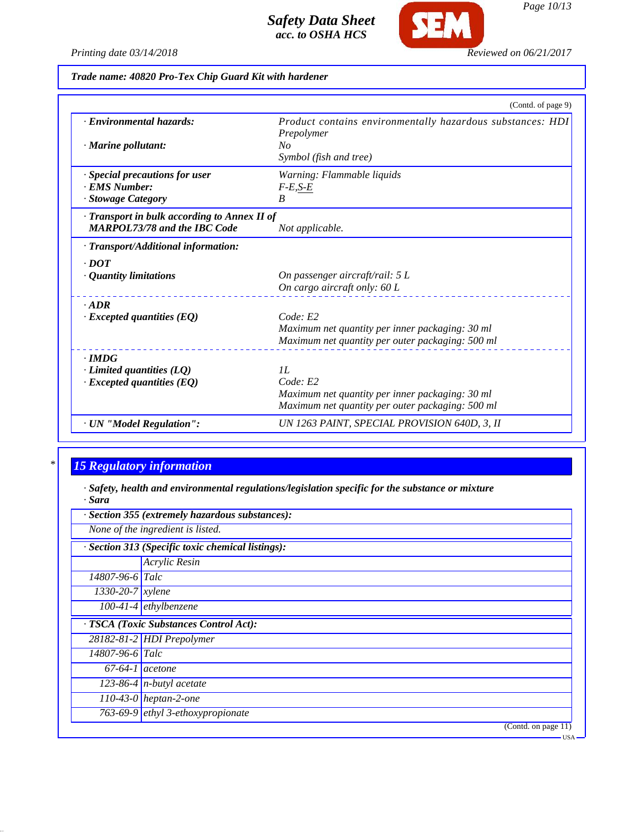

*Page 10/13*

*Printing date 03/14/2018 Reviewed on 06/21/2017*

*Trade name: 40820 Pro-Tex Chip Guard Kit with hardener*

|                                              | (Contd. of page 9)                                                       |
|----------------------------------------------|--------------------------------------------------------------------------|
| · Environmental hazards:                     | Product contains environmentally hazardous substances: HDI<br>Prepolymer |
| · Marine pollutant:                          | No                                                                       |
|                                              | Symbol (fish and tree)                                                   |
| · Special precautions for user               | Warning: Flammable liquids                                               |
| · EMS Number:                                | $F-E, S-E$                                                               |
| · Stowage Category                           | $\boldsymbol{B}$                                                         |
| · Transport in bulk according to Annex II of |                                                                          |
| <b>MARPOL73/78 and the IBC Code</b>          | Not applicable.                                                          |
| · Transport/Additional information:          |                                                                          |
| $\cdot$ DOT                                  |                                                                          |
| $\cdot$ Quantity limitations                 | On passenger aircraft/rail: 5 L                                          |
|                                              | On cargo aircraft only: 60 L                                             |
| $-ADR$                                       |                                                                          |
| $\cdot$ Excepted quantities (EQ)             | Code: E2                                                                 |
|                                              | Maximum net quantity per inner packaging: 30 ml                          |
|                                              | Maximum net quantity per outer packaging: 500 ml                         |
| $\cdot$ IMDG                                 |                                                                          |
| $\cdot$ Limited quantities (LQ)              | IL                                                                       |
| $\cdot$ Excepted quantities (EQ)             | Code: E2                                                                 |
|                                              | Maximum net quantity per inner packaging: 30 ml                          |
|                                              | Maximum net quantity per outer packaging: 500 ml                         |
| · UN "Model Regulation":                     | UN 1263 PAINT, SPECIAL PROVISION 640D, 3, II                             |

# *\* 15 Regulatory information*

*· Safety, health and environmental regulations/legislation specific for the substance or mixture · Sara*

|                                                   | · Section 355 (extremely hazardous substances): |  |  |
|---------------------------------------------------|-------------------------------------------------|--|--|
| None of the ingredient is listed.                 |                                                 |  |  |
| · Section 313 (Specific toxic chemical listings): |                                                 |  |  |
|                                                   | Acrylic Resin                                   |  |  |
| $14807 - 96 - 6$ Talc                             |                                                 |  |  |
| $1330 - 20 - 7$ xylene                            |                                                 |  |  |
|                                                   | $\overline{100-41-4}$ ethylbenzene              |  |  |
|                                                   | · TSCA (Toxic Substances Control Act):          |  |  |
|                                                   | 28182-81-2 HDI Prepolymer                       |  |  |
| $14807 - 96 - 6$ Talc                             |                                                 |  |  |
| $67-64-1$ acetone                                 |                                                 |  |  |
|                                                   | 123-86-4 $n$ -butyl acetate                     |  |  |
|                                                   | $110-43-0$ heptan-2-one                         |  |  |
|                                                   | 763-69-9 $\epsilon$ thyl 3-ethoxypropionate     |  |  |
|                                                   | (Contd. on page 11)                             |  |  |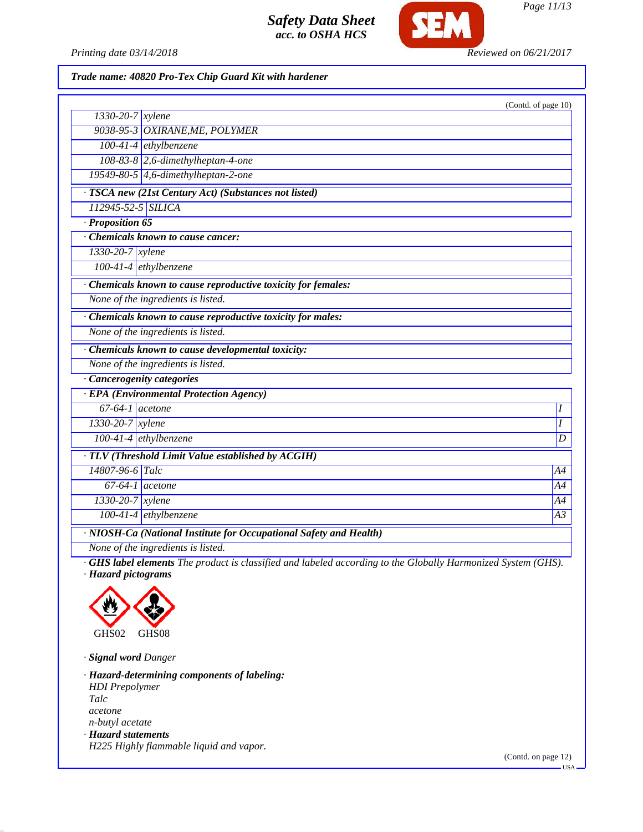

*Printing date 03/14/2018 Reviewed on 06/21/2017*

### *Trade name: 40820 Pro-Tex Chip Guard Kit with hardener*

|                                                                                                             | (Contd. of page 10) |
|-------------------------------------------------------------------------------------------------------------|---------------------|
| $1330 - 20 - 7$ <i>xylene</i>                                                                               |                     |
| 9038-95-3 OXIRANE, ME, POLYMER                                                                              |                     |
| $100-41-4$ ethylbenzene                                                                                     |                     |
| 108-83-8 2,6-dimethylheptan-4-one                                                                           |                     |
| 19549-80-5 4,6-dimethylheptan-2-one                                                                         |                     |
| · TSCA new (21st Century Act) (Substances not listed)                                                       |                     |
| 112945-52-5 SILICA                                                                                          |                     |
| $\cdot$ Proposition 65                                                                                      |                     |
| Chemicals known to cause cancer:                                                                            |                     |
| 1330-20-7 xylene                                                                                            |                     |
| $100-41-4$ ethylbenzene                                                                                     |                     |
| · Chemicals known to cause reproductive toxicity for females:                                               |                     |
| None of the ingredients is listed.                                                                          |                     |
| Chemicals known to cause reproductive toxicity for males:                                                   |                     |
| None of the ingredients is listed.                                                                          |                     |
| · Chemicals known to cause developmental toxicity:                                                          |                     |
| None of the ingredients is listed.                                                                          |                     |
| Cancerogenity categories                                                                                    |                     |
| · EPA (Environmental Protection Agency)                                                                     |                     |
| $67-64-1$ acetone                                                                                           | Ι                   |
| $1330 - 20 - 7$ xylene                                                                                      | I                   |
| 100-41-4 ethylbenzene                                                                                       | $\boldsymbol{D}$    |
| · TLV (Threshold Limit Value established by ACGIH)                                                          |                     |
| 14807-96-6 Talc                                                                                             | A4                  |
| $67-64-1$ acetone                                                                                           | A4                  |
| $1330 - 20 - 7$ xylene                                                                                      | Α4                  |
| $100-41-4$ ethylbenzene                                                                                     | A3                  |
| · NIOSH-Ca (National Institute for Occupational Safety and Health)                                          |                     |
| None of the ingredients is listed.                                                                          |                     |
| GHS label elements The product is classified and labeled according to the Globally Harmonized System (GHS). |                     |

*· Hazard pictograms*



*· Signal word Danger*

*· Hazard-determining components of labeling: HDI Prepolymer Talc acetone n-butyl acetate · Hazard statements H225 Highly flammable liquid and vapor.*

(Contd. on page 12)

USA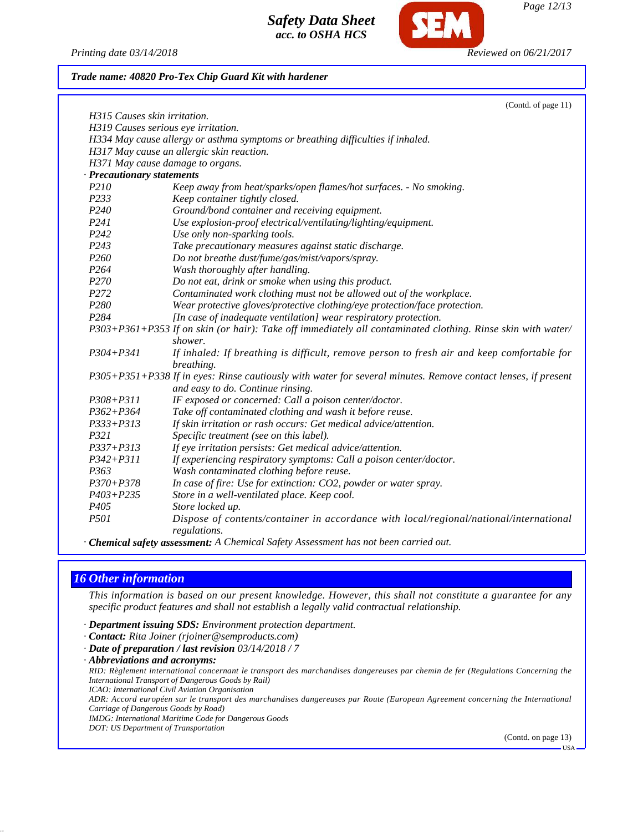

*Printing date 03/14/2018 Reviewed on 06/21/2017*

#### *Trade name: 40820 Pro-Tex Chip Guard Kit with hardener*

|                                                                                 | (Contd. of page 11)                                                                                           |  |  |  |  |
|---------------------------------------------------------------------------------|---------------------------------------------------------------------------------------------------------------|--|--|--|--|
| H315 Causes skin irritation.                                                    |                                                                                                               |  |  |  |  |
| H319 Causes serious eye irritation.                                             |                                                                                                               |  |  |  |  |
| H334 May cause allergy or asthma symptoms or breathing difficulties if inhaled. |                                                                                                               |  |  |  |  |
| H317 May cause an allergic skin reaction.                                       |                                                                                                               |  |  |  |  |
| H371 May cause damage to organs.                                                |                                                                                                               |  |  |  |  |
| <b>Precautionary statements</b>                                                 |                                                                                                               |  |  |  |  |
| P210                                                                            | Keep away from heat/sparks/open flames/hot surfaces. - No smoking.                                            |  |  |  |  |
| P233                                                                            | Keep container tightly closed.                                                                                |  |  |  |  |
| P <sub>240</sub>                                                                | Ground/bond container and receiving equipment.                                                                |  |  |  |  |
| P <sub>24</sub> 1                                                               | Use explosion-proof electrical/ventilating/lighting/equipment.                                                |  |  |  |  |
| P <sub>242</sub>                                                                | Use only non-sparking tools.                                                                                  |  |  |  |  |
| P <sub>243</sub>                                                                | Take precautionary measures against static discharge.                                                         |  |  |  |  |
| P <sub>260</sub>                                                                | Do not breathe dust/fume/gas/mist/vapors/spray.                                                               |  |  |  |  |
| P <sub>264</sub>                                                                | Wash thoroughly after handling.                                                                               |  |  |  |  |
| P <sub>270</sub>                                                                | Do not eat, drink or smoke when using this product.                                                           |  |  |  |  |
| P <sub>272</sub>                                                                | Contaminated work clothing must not be allowed out of the workplace.                                          |  |  |  |  |
| P <sub>280</sub>                                                                | Wear protective gloves/protective clothing/eye protection/face protection.                                    |  |  |  |  |
| P284                                                                            | [In case of inadequate ventilation] wear respiratory protection.                                              |  |  |  |  |
|                                                                                 | P303+P361+P353 If on skin (or hair): Take off immediately all contaminated clothing. Rinse skin with water/   |  |  |  |  |
|                                                                                 | shower.                                                                                                       |  |  |  |  |
| $P304 + P341$                                                                   | If inhaled: If breathing is difficult, remove person to fresh air and keep comfortable for                    |  |  |  |  |
|                                                                                 | breathing.                                                                                                    |  |  |  |  |
|                                                                                 | P305+P351+P338 If in eyes: Rinse cautiously with water for several minutes. Remove contact lenses, if present |  |  |  |  |
|                                                                                 | and easy to do. Continue rinsing.                                                                             |  |  |  |  |
| $P308 + P311$                                                                   | IF exposed or concerned: Call a poison center/doctor.                                                         |  |  |  |  |
| $P362 + P364$                                                                   | Take off contaminated clothing and wash it before reuse.                                                      |  |  |  |  |
| $P333 + P313$                                                                   | If skin irritation or rash occurs: Get medical advice/attention.                                              |  |  |  |  |
| P321                                                                            | Specific treatment (see on this label).                                                                       |  |  |  |  |
| $P337 + P313$                                                                   | If eye irritation persists: Get medical advice/attention.                                                     |  |  |  |  |
| $P342 + P311$                                                                   | If experiencing respiratory symptoms: Call a poison center/doctor.                                            |  |  |  |  |
| P363                                                                            | Wash contaminated clothing before reuse.                                                                      |  |  |  |  |
| $P370 + P378$                                                                   | In case of fire: Use for extinction: CO2, powder or water spray.                                              |  |  |  |  |
| $P403 + P235$                                                                   | Store in a well-ventilated place. Keep cool.                                                                  |  |  |  |  |
| P <sub>405</sub>                                                                | Store locked up.                                                                                              |  |  |  |  |
| <i>P501</i>                                                                     | Dispose of contents/container in accordance with local/regional/national/international                        |  |  |  |  |
|                                                                                 | regulations.                                                                                                  |  |  |  |  |

*· Chemical safety assessment: A Chemical Safety Assessment has not been carried out.*

# *16 Other information*

*This information is based on our present knowledge. However, this shall not constitute a guarantee for any specific product features and shall not establish a legally valid contractual relationship.*

- *· Department issuing SDS: Environment protection department.*
- *· Contact: Rita Joiner (rjoiner@semproducts.com)*
- *· Date of preparation / last revision 03/14/2018 / 7*
- *· Abbreviations and acronyms:*

*RID: Règlement international concernant le transport des marchandises dangereuses par chemin de fer (Regulations Concerning the International Transport of Dangerous Goods by Rail)*

*ICAO: International Civil Aviation Organisation ADR: Accord européen sur le transport des marchandises dangereuses par Route (European Agreement concerning the International*

*Carriage of Dangerous Goods by Road)*

*IMDG: International Maritime Code for Dangerous Goods DOT: US Department of Transportation*

(Contd. on page 13)

 $-11S_A$